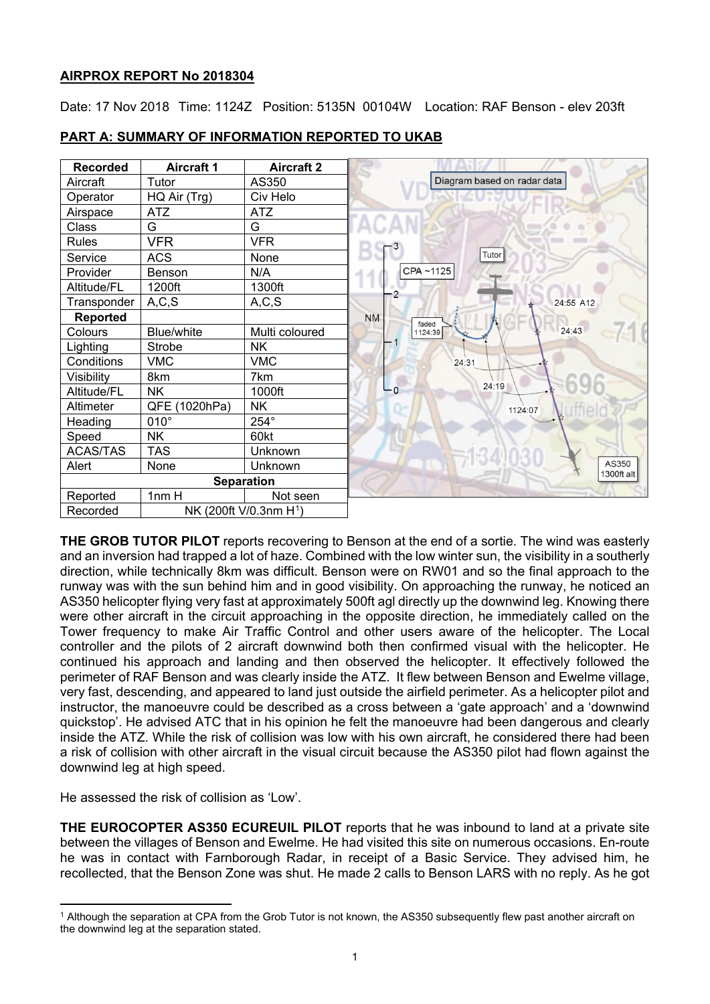# **AIRPROX REPORT No 2018304**

Date: 17 Nov 2018 Time: 1124Z Position: 5135N 00104W Location: RAF Benson - elev 203ft



## **PART A: SUMMARY OF INFORMATION REPORTED TO UKAB**

**THE GROB TUTOR PILOT** reports recovering to Benson at the end of a sortie. The wind was easterly and an inversion had trapped a lot of haze. Combined with the low winter sun, the visibility in a southerly direction, while technically 8km was difficult. Benson were on RW01 and so the final approach to the runway was with the sun behind him and in good visibility. On approaching the runway, he noticed an AS350 helicopter flying very fast at approximately 500ft agl directly up the downwind leg. Knowing there were other aircraft in the circuit approaching in the opposite direction, he immediately called on the Tower frequency to make Air Traffic Control and other users aware of the helicopter. The Local controller and the pilots of 2 aircraft downwind both then confirmed visual with the helicopter. He continued his approach and landing and then observed the helicopter. It effectively followed the perimeter of RAF Benson and was clearly inside the ATZ. It flew between Benson and Ewelme village, very fast, descending, and appeared to land just outside the airfield perimeter. As a helicopter pilot and instructor, the manoeuvre could be described as a cross between a 'gate approach' and a 'downwind quickstop'. He advised ATC that in his opinion he felt the manoeuvre had been dangerous and clearly inside the ATZ. While the risk of collision was low with his own aircraft, he considered there had been a risk of collision with other aircraft in the visual circuit because the AS350 pilot had flown against the downwind leg at high speed.

He assessed the risk of collision as 'Low'.

 $\overline{a}$ 

**THE EUROCOPTER AS350 ECUREUIL PILOT** reports that he was inbound to land at a private site between the villages of Benson and Ewelme. He had visited this site on numerous occasions. En-route he was in contact with Farnborough Radar, in receipt of a Basic Service. They advised him, he recollected, that the Benson Zone was shut. He made 2 calls to Benson LARS with no reply. As he got

<span id="page-0-0"></span><sup>1</sup> Although the separation at CPA from the Grob Tutor is not known, the AS350 subsequently flew past another aircraft on the downwind leg at the separation stated.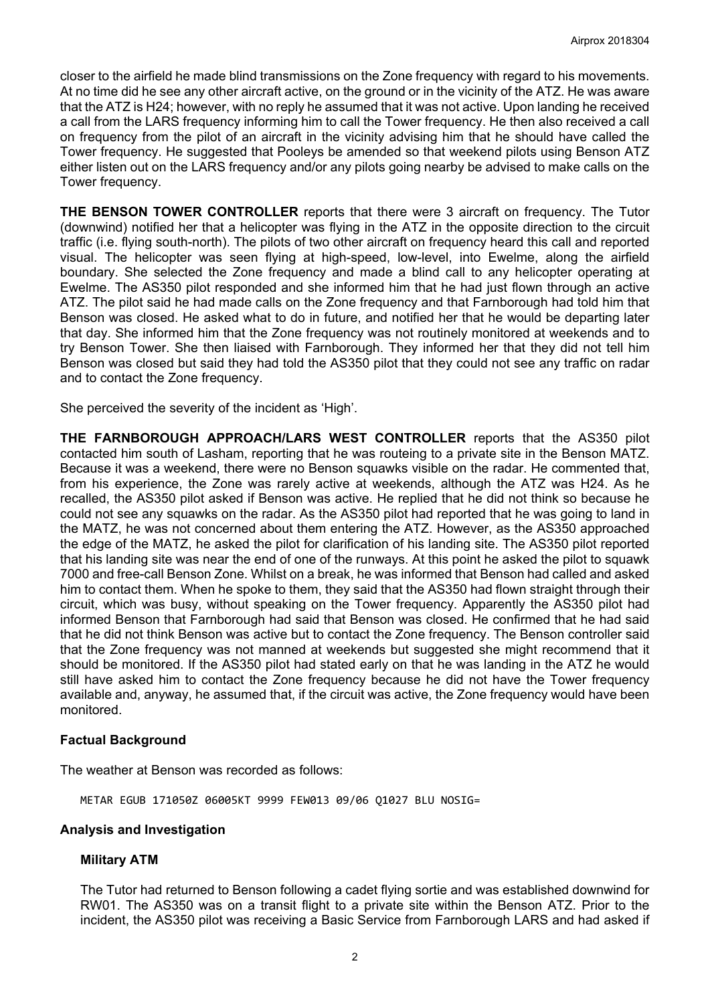closer to the airfield he made blind transmissions on the Zone frequency with regard to his movements. At no time did he see any other aircraft active, on the ground or in the vicinity of the ATZ. He was aware that the ATZ is H24; however, with no reply he assumed that it was not active. Upon landing he received a call from the LARS frequency informing him to call the Tower frequency. He then also received a call on frequency from the pilot of an aircraft in the vicinity advising him that he should have called the Tower frequency. He suggested that Pooleys be amended so that weekend pilots using Benson ATZ either listen out on the LARS frequency and/or any pilots going nearby be advised to make calls on the Tower frequency.

**THE BENSON TOWER CONTROLLER** reports that there were 3 aircraft on frequency. The Tutor (downwind) notified her that a helicopter was flying in the ATZ in the opposite direction to the circuit traffic (i.e. flying south-north). The pilots of two other aircraft on frequency heard this call and reported visual. The helicopter was seen flying at high-speed, low-level, into Ewelme, along the airfield boundary. She selected the Zone frequency and made a blind call to any helicopter operating at Ewelme. The AS350 pilot responded and she informed him that he had just flown through an active ATZ. The pilot said he had made calls on the Zone frequency and that Farnborough had told him that Benson was closed. He asked what to do in future, and notified her that he would be departing later that day. She informed him that the Zone frequency was not routinely monitored at weekends and to try Benson Tower. She then liaised with Farnborough. They informed her that they did not tell him Benson was closed but said they had told the AS350 pilot that they could not see any traffic on radar and to contact the Zone frequency.

She perceived the severity of the incident as 'High'.

**THE FARNBOROUGH APPROACH/LARS WEST CONTROLLER** reports that the AS350 pilot contacted him south of Lasham, reporting that he was routeing to a private site in the Benson MATZ. Because it was a weekend, there were no Benson squawks visible on the radar. He commented that, from his experience, the Zone was rarely active at weekends, although the ATZ was H24. As he recalled, the AS350 pilot asked if Benson was active. He replied that he did not think so because he could not see any squawks on the radar. As the AS350 pilot had reported that he was going to land in the MATZ, he was not concerned about them entering the ATZ. However, as the AS350 approached the edge of the MATZ, he asked the pilot for clarification of his landing site. The AS350 pilot reported that his landing site was near the end of one of the runways. At this point he asked the pilot to squawk 7000 and free-call Benson Zone. Whilst on a break, he was informed that Benson had called and asked him to contact them. When he spoke to them, they said that the AS350 had flown straight through their circuit, which was busy, without speaking on the Tower frequency. Apparently the AS350 pilot had informed Benson that Farnborough had said that Benson was closed. He confirmed that he had said that he did not think Benson was active but to contact the Zone frequency. The Benson controller said that the Zone frequency was not manned at weekends but suggested she might recommend that it should be monitored. If the AS350 pilot had stated early on that he was landing in the ATZ he would still have asked him to contact the Zone frequency because he did not have the Tower frequency available and, anyway, he assumed that, if the circuit was active, the Zone frequency would have been monitored.

### **Factual Background**

The weather at Benson was recorded as follows:

METAR EGUB 171050Z 06005KT 9999 FEW013 09/06 Q1027 BLU NOSIG=

### **Analysis and Investigation**

### **Military ATM**

The Tutor had returned to Benson following a cadet flying sortie and was established downwind for RW01. The AS350 was on a transit flight to a private site within the Benson ATZ. Prior to the incident, the AS350 pilot was receiving a Basic Service from Farnborough LARS and had asked if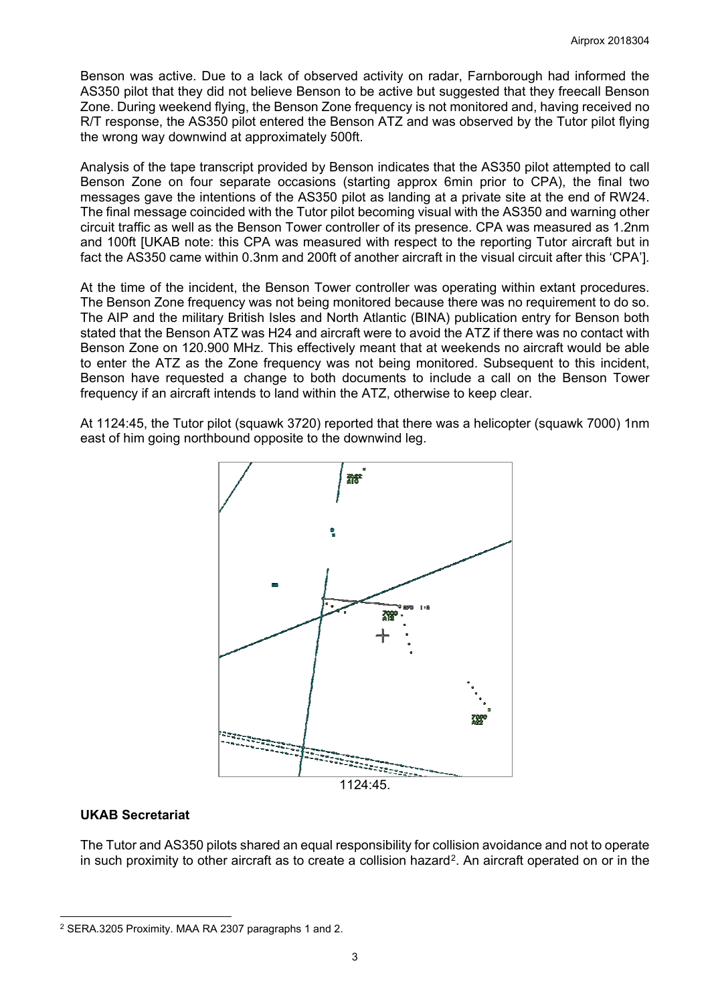Benson was active. Due to a lack of observed activity on radar, Farnborough had informed the AS350 pilot that they did not believe Benson to be active but suggested that they freecall Benson Zone. During weekend flying, the Benson Zone frequency is not monitored and, having received no R/T response, the AS350 pilot entered the Benson ATZ and was observed by the Tutor pilot flying the wrong way downwind at approximately 500ft.

Analysis of the tape transcript provided by Benson indicates that the AS350 pilot attempted to call Benson Zone on four separate occasions (starting approx 6min prior to CPA), the final two messages gave the intentions of the AS350 pilot as landing at a private site at the end of RW24. The final message coincided with the Tutor pilot becoming visual with the AS350 and warning other circuit traffic as well as the Benson Tower controller of its presence. CPA was measured as 1.2nm and 100ft [UKAB note: this CPA was measured with respect to the reporting Tutor aircraft but in fact the AS350 came within 0.3nm and 200ft of another aircraft in the visual circuit after this 'CPA'].

At the time of the incident, the Benson Tower controller was operating within extant procedures. The Benson Zone frequency was not being monitored because there was no requirement to do so. The AIP and the military British Isles and North Atlantic (BINA) publication entry for Benson both stated that the Benson ATZ was H24 and aircraft were to avoid the ATZ if there was no contact with Benson Zone on 120.900 MHz. This effectively meant that at weekends no aircraft would be able to enter the ATZ as the Zone frequency was not being monitored. Subsequent to this incident, Benson have requested a change to both documents to include a call on the Benson Tower frequency if an aircraft intends to land within the ATZ, otherwise to keep clear.

At 1124:45, the Tutor pilot (squawk 3720) reported that there was a helicopter (squawk 7000) 1nm east of him going northbound opposite to the downwind leg.



# **UKAB Secretariat**

 $\overline{a}$ 

The Tutor and AS350 pilots shared an equal responsibility for collision avoidance and not to operate in such proximity to other aircraft as to create a collision hazard[2](#page-2-0). An aircraft operated on or in the

<span id="page-2-0"></span><sup>2</sup> SERA.3205 Proximity. MAA RA 2307 paragraphs 1 and 2.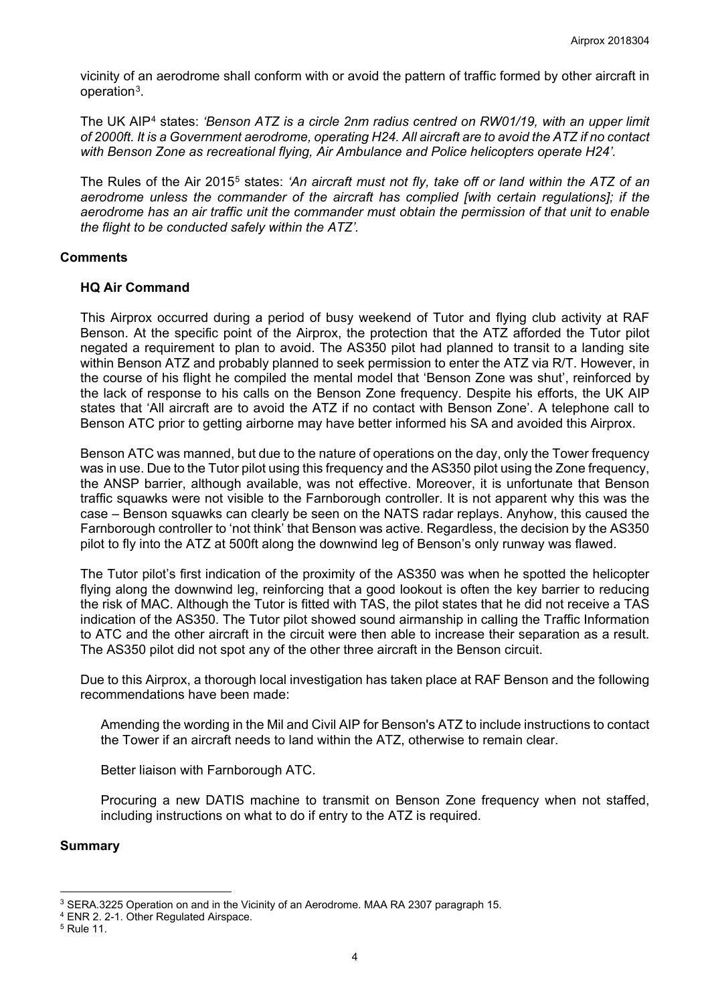vicinity of an aerodrome shall conform with or avoid the pattern of traffic formed by other aircraft in operation[3.](#page-3-0)

The UK AIP[4](#page-3-1) states: *'Benson ATZ is a circle 2nm radius centred on RW01/19, with an upper limit of 2000ft. It is a Government aerodrome, operating H24. All aircraft are to avoid the ATZ if no contact with Benson Zone as recreational flying, Air Ambulance and Police helicopters operate H24'.*

The Rules of the Air 2015[5](#page-3-2) states: *'An aircraft must not fly, take off or land within the ATZ of an aerodrome unless the commander of the aircraft has complied [with certain regulations]; if the aerodrome has an air traffic unit the commander must obtain the permission of that unit to enable the flight to be conducted safely within the ATZ'.*

### **Comments**

### **HQ Air Command**

This Airprox occurred during a period of busy weekend of Tutor and flying club activity at RAF Benson. At the specific point of the Airprox, the protection that the ATZ afforded the Tutor pilot negated a requirement to plan to avoid. The AS350 pilot had planned to transit to a landing site within Benson ATZ and probably planned to seek permission to enter the ATZ via R/T. However, in the course of his flight he compiled the mental model that 'Benson Zone was shut', reinforced by the lack of response to his calls on the Benson Zone frequency. Despite his efforts, the UK AIP states that 'All aircraft are to avoid the ATZ if no contact with Benson Zone'. A telephone call to Benson ATC prior to getting airborne may have better informed his SA and avoided this Airprox.

Benson ATC was manned, but due to the nature of operations on the day, only the Tower frequency was in use. Due to the Tutor pilot using this frequency and the AS350 pilot using the Zone frequency, the ANSP barrier, although available, was not effective. Moreover, it is unfortunate that Benson traffic squawks were not visible to the Farnborough controller. It is not apparent why this was the case – Benson squawks can clearly be seen on the NATS radar replays. Anyhow, this caused the Farnborough controller to 'not think' that Benson was active. Regardless, the decision by the AS350 pilot to fly into the ATZ at 500ft along the downwind leg of Benson's only runway was flawed.

The Tutor pilot's first indication of the proximity of the AS350 was when he spotted the helicopter flying along the downwind leg, reinforcing that a good lookout is often the key barrier to reducing the risk of MAC. Although the Tutor is fitted with TAS, the pilot states that he did not receive a TAS indication of the AS350. The Tutor pilot showed sound airmanship in calling the Traffic Information to ATC and the other aircraft in the circuit were then able to increase their separation as a result. The AS350 pilot did not spot any of the other three aircraft in the Benson circuit.

Due to this Airprox, a thorough local investigation has taken place at RAF Benson and the following recommendations have been made:

Amending the wording in the Mil and Civil AIP for Benson's ATZ to include instructions to contact the Tower if an aircraft needs to land within the ATZ, otherwise to remain clear.

Better liaison with Farnborough ATC.

Procuring a new DATIS machine to transmit on Benson Zone frequency when not staffed, including instructions on what to do if entry to the ATZ is required.

### **Summary**

 $\overline{a}$ 

<span id="page-3-0"></span><sup>3</sup> SERA.3225 Operation on and in the Vicinity of an Aerodrome. MAA RA 2307 paragraph 15.

<span id="page-3-1"></span><sup>4</sup> ENR 2. 2-1. Other Regulated Airspace.

<span id="page-3-2"></span><sup>5</sup> Rule 11.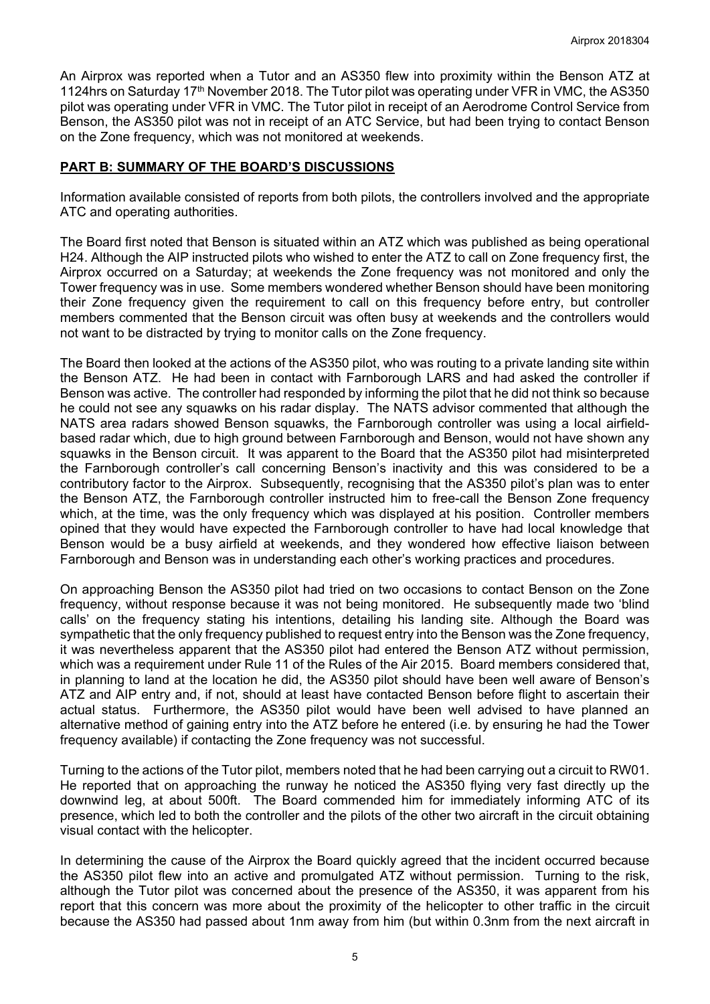An Airprox was reported when a Tutor and an AS350 flew into proximity within the Benson ATZ at 1124hrs on Saturday 17<sup>th</sup> November 2018. The Tutor pilot was operating under VFR in VMC, the AS350 pilot was operating under VFR in VMC. The Tutor pilot in receipt of an Aerodrome Control Service from Benson, the AS350 pilot was not in receipt of an ATC Service, but had been trying to contact Benson on the Zone frequency, which was not monitored at weekends.

### **PART B: SUMMARY OF THE BOARD'S DISCUSSIONS**

Information available consisted of reports from both pilots, the controllers involved and the appropriate ATC and operating authorities.

The Board first noted that Benson is situated within an ATZ which was published as being operational H24. Although the AIP instructed pilots who wished to enter the ATZ to call on Zone frequency first, the Airprox occurred on a Saturday; at weekends the Zone frequency was not monitored and only the Tower frequency was in use. Some members wondered whether Benson should have been monitoring their Zone frequency given the requirement to call on this frequency before entry, but controller members commented that the Benson circuit was often busy at weekends and the controllers would not want to be distracted by trying to monitor calls on the Zone frequency.

The Board then looked at the actions of the AS350 pilot, who was routing to a private landing site within the Benson ATZ. He had been in contact with Farnborough LARS and had asked the controller if Benson was active. The controller had responded by informing the pilot that he did not think so because he could not see any squawks on his radar display. The NATS advisor commented that although the NATS area radars showed Benson squawks, the Farnborough controller was using a local airfieldbased radar which, due to high ground between Farnborough and Benson, would not have shown any squawks in the Benson circuit. It was apparent to the Board that the AS350 pilot had misinterpreted the Farnborough controller's call concerning Benson's inactivity and this was considered to be a contributory factor to the Airprox. Subsequently, recognising that the AS350 pilot's plan was to enter the Benson ATZ, the Farnborough controller instructed him to free-call the Benson Zone frequency which, at the time, was the only frequency which was displayed at his position. Controller members opined that they would have expected the Farnborough controller to have had local knowledge that Benson would be a busy airfield at weekends, and they wondered how effective liaison between Farnborough and Benson was in understanding each other's working practices and procedures.

On approaching Benson the AS350 pilot had tried on two occasions to contact Benson on the Zone frequency, without response because it was not being monitored. He subsequently made two 'blind calls' on the frequency stating his intentions, detailing his landing site. Although the Board was sympathetic that the only frequency published to request entry into the Benson was the Zone frequency, it was nevertheless apparent that the AS350 pilot had entered the Benson ATZ without permission, which was a requirement under Rule 11 of the Rules of the Air 2015. Board members considered that, in planning to land at the location he did, the AS350 pilot should have been well aware of Benson's ATZ and AIP entry and, if not, should at least have contacted Benson before flight to ascertain their actual status. Furthermore, the AS350 pilot would have been well advised to have planned an alternative method of gaining entry into the ATZ before he entered (i.e. by ensuring he had the Tower frequency available) if contacting the Zone frequency was not successful.

Turning to the actions of the Tutor pilot, members noted that he had been carrying out a circuit to RW01. He reported that on approaching the runway he noticed the AS350 flying very fast directly up the downwind leg, at about 500ft. The Board commended him for immediately informing ATC of its presence, which led to both the controller and the pilots of the other two aircraft in the circuit obtaining visual contact with the helicopter.

In determining the cause of the Airprox the Board quickly agreed that the incident occurred because the AS350 pilot flew into an active and promulgated ATZ without permission. Turning to the risk, although the Tutor pilot was concerned about the presence of the AS350, it was apparent from his report that this concern was more about the proximity of the helicopter to other traffic in the circuit because the AS350 had passed about 1nm away from him (but within 0.3nm from the next aircraft in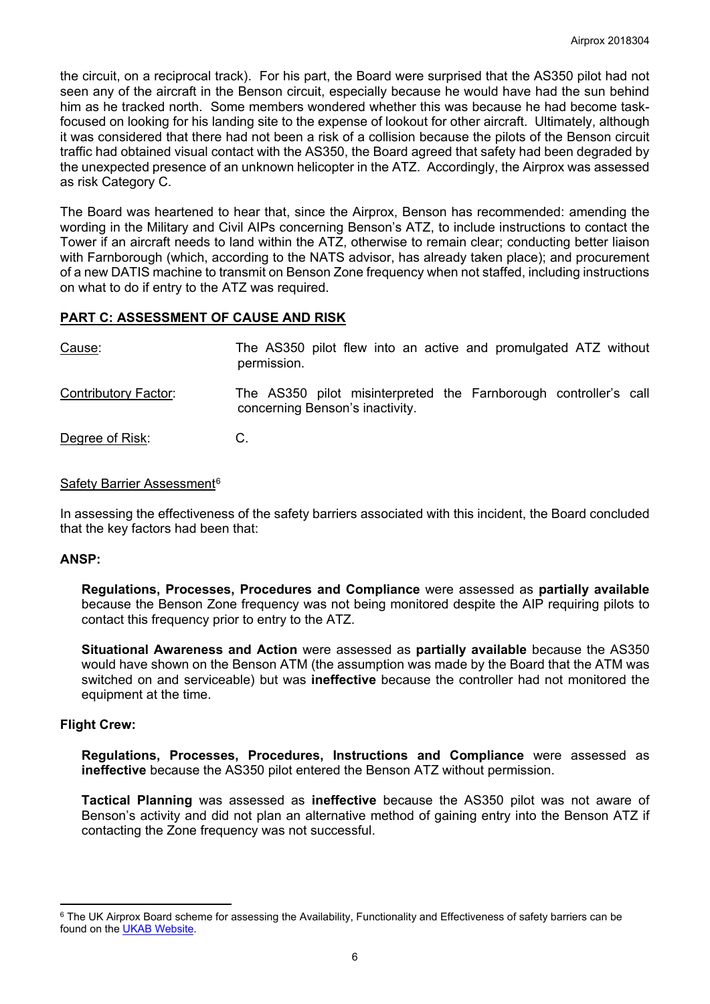the circuit, on a reciprocal track). For his part, the Board were surprised that the AS350 pilot had not seen any of the aircraft in the Benson circuit, especially because he would have had the sun behind him as he tracked north. Some members wondered whether this was because he had become taskfocused on looking for his landing site to the expense of lookout for other aircraft. Ultimately, although it was considered that there had not been a risk of a collision because the pilots of the Benson circuit traffic had obtained visual contact with the AS350, the Board agreed that safety had been degraded by the unexpected presence of an unknown helicopter in the ATZ. Accordingly, the Airprox was assessed as risk Category C.

The Board was heartened to hear that, since the Airprox, Benson has recommended: amending the wording in the Military and Civil AIPs concerning Benson's ATZ, to include instructions to contact the Tower if an aircraft needs to land within the ATZ, otherwise to remain clear; conducting better liaison with Farnborough (which, according to the NATS advisor, has already taken place); and procurement of a new DATIS machine to transmit on Benson Zone frequency when not staffed, including instructions on what to do if entry to the ATZ was required.

### **PART C: ASSESSMENT OF CAUSE AND RISK**

| Cause:                      | The AS350 pilot flew into an active and promulgated ATZ without<br>permission.                      |
|-----------------------------|-----------------------------------------------------------------------------------------------------|
| <b>Contributory Factor:</b> | The AS350 pilot misinterpreted the Farnborough controller's call<br>concerning Benson's inactivity. |
| Degree of Risk:             |                                                                                                     |

### Safety Barrier Assessment<sup>[6](#page-5-0)</sup>

In assessing the effectiveness of the safety barriers associated with this incident, the Board concluded that the key factors had been that:

### **ANSP:**

**Regulations, Processes, Procedures and Compliance** were assessed as **partially available** because the Benson Zone frequency was not being monitored despite the AIP requiring pilots to contact this frequency prior to entry to the ATZ.

**Situational Awareness and Action** were assessed as **partially available** because the AS350 would have shown on the Benson ATM (the assumption was made by the Board that the ATM was switched on and serviceable) but was **ineffective** because the controller had not monitored the equipment at the time.

### **Flight Crew:**

 $\overline{a}$ 

**Regulations, Processes, Procedures, Instructions and Compliance** were assessed as **ineffective** because the AS350 pilot entered the Benson ATZ without permission.

**Tactical Planning** was assessed as **ineffective** because the AS350 pilot was not aware of Benson's activity and did not plan an alternative method of gaining entry into the Benson ATZ if contacting the Zone frequency was not successful.

<span id="page-5-0"></span><sup>&</sup>lt;sup>6</sup> The UK Airprox Board scheme for assessing the Availability, Functionality and Effectiveness of safety barriers can be found on the [UKAB Website.](http://www.airproxboard.org.uk/Learn-more/Airprox-Barrier-Assessment/)